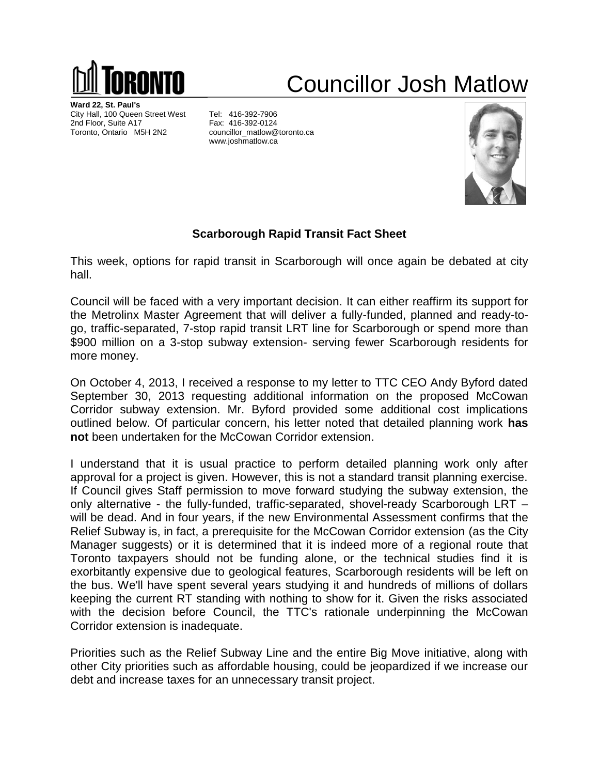

## Councillor Josh Matlow

**Ward 22, St. Paul's** City Hall, 100 Queen Street West Tel: 416-392-7906 2nd Floor, Suite A17 Fax: 416-392-0124 Toronto, Ontario M5H 2N2 councillor\_matlow@toronto.ca

www.joshmatlow.ca



## **Scarborough Rapid Transit Fact Sheet**

This week, options for rapid transit in Scarborough will once again be debated at city hall.

Council will be faced with a very important decision. It can either reaffirm its support for the Metrolinx Master Agreement that will deliver a fully-funded, planned and ready-togo, traffic-separated, 7-stop rapid transit LRT line for Scarborough or spend more than \$900 million on a 3-stop subway extension- serving fewer Scarborough residents for more money.

On October 4, 2013, I received a response to my letter to TTC CEO Andy Byford dated September 30, 2013 requesting additional information on the proposed McCowan Corridor subway extension. Mr. Byford provided some additional cost implications outlined below. Of particular concern, his letter noted that detailed planning work **has not** been undertaken for the McCowan Corridor extension.

I understand that it is usual practice to perform detailed planning work only after approval for a project is given. However, this is not a standard transit planning exercise. If Council gives Staff permission to move forward studying the subway extension, the only alternative - the fully-funded, traffic-separated, shovel-ready Scarborough LRT – will be dead. And in four years, if the new Environmental Assessment confirms that the Relief Subway is, in fact, a prerequisite for the McCowan Corridor extension (as the City Manager suggests) or it is determined that it is indeed more of a regional route that Toronto taxpayers should not be funding alone, or the technical studies find it is exorbitantly expensive due to geological features, Scarborough residents will be left on the bus. We'll have spent several years studying it and hundreds of millions of dollars keeping the current RT standing with nothing to show for it. Given the risks associated with the decision before Council, the TTC's rationale underpinning the McCowan Corridor extension is inadequate.

Priorities such as the Relief Subway Line and the entire Big Move initiative, along with other City priorities such as affordable housing, could be jeopardized if we increase our debt and increase taxes for an unnecessary transit project.